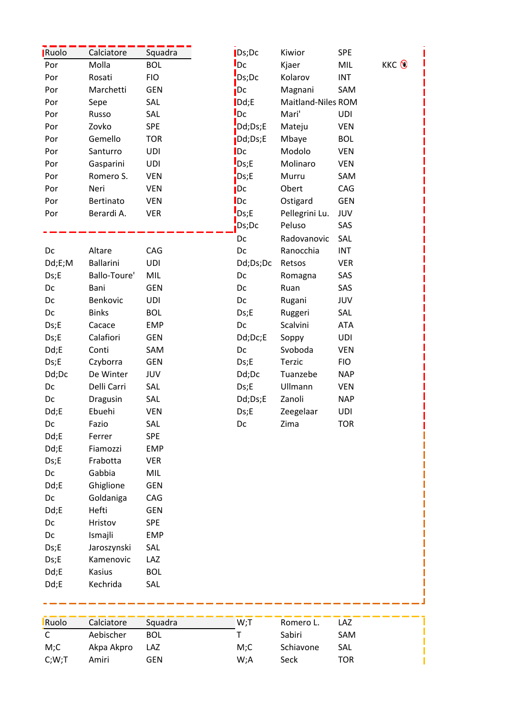| Ruolo  | Calciatore         | Squadra    | $\mathsf{Ds;Dc}$                 | Kiwior             | <b>SPE</b> |     |
|--------|--------------------|------------|----------------------------------|--------------------|------------|-----|
| Por    | Molla              | <b>BOL</b> | $I_{DC}$                         | Kjaer              | MIL        | KKC |
| Por    | Rosati             | <b>FIO</b> | $\mathsf{Ds}$ ;Dc                | Kolarov            | <b>INT</b> |     |
| Por    | Marchetti          | <b>GEN</b> | <b>i</b> Dc                      | Magnani            | SAM        |     |
| Por    | Sepe               | SAL        | $\mathsf{Dd}$ ;E                 | Maitland-Niles ROM |            |     |
| Por    | Russo              | SAL        | $I_{DC}$                         | Mari'              | UDI        |     |
| Por    | Zovko              | <b>SPE</b> | Dd;Ds;E                          | Mateju             | <b>VEN</b> |     |
| Por    | Gemello            | <b>TOR</b> | $\overline{\phantom{a}}$ Dd;Ds;E | Mbaye              | <b>BOL</b> |     |
| Por    | Santurro           | <b>UDI</b> | $\overline{\text{Dc}}$           | Modolo             | <b>VEN</b> |     |
| Por    | Gasparini          | <b>UDI</b> | $\mathsf{L}$ Ds;E                | Molinaro           | <b>VEN</b> |     |
| Por    | Romero S.          | <b>VEN</b> | Ds;E                             | Murru              | SAM        |     |
| Por    | Neri               | <b>VEN</b> | $\overline{\mathsf{p}}$ Dc       | Obert              | CAG        |     |
| Por    | Bertinato          | <b>VEN</b> | $\mathsf{I}$ Dc                  | Ostigard           | <b>GEN</b> |     |
| Por    | Berardi A.         | <b>VER</b> | D <sub>S</sub> ;E                | Pellegrini Lu.     | JUV        |     |
|        |                    |            | Ds;Dc                            | Peluso             | SAS        |     |
|        |                    |            | Dc                               | Radovanovic        | SAL        |     |
| Dc     | Altare             | CAG        | Dc                               | Ranocchia          | <b>INT</b> |     |
| Dd;E;M | <b>Ballarini</b>   | UDI        | Dd;Ds;Dc                         | Retsos             | <b>VER</b> |     |
| Ds;E   | Ballo-Toure'       | <b>MIL</b> | Dc                               | Romagna            | SAS        |     |
| Dc     | Bani               | <b>GEN</b> | Dc                               | Ruan               | SAS        |     |
| Dc     | Benkovic           | UDI        | Dc                               | Rugani             | JUV        |     |
| Dc     | <b>Binks</b>       | <b>BOL</b> | Ds;E                             | Ruggeri            | SAL        |     |
| Ds;E   | Cacace             | <b>EMP</b> | Dc                               | Scalvini           | <b>ATA</b> |     |
| Ds;E   | Calafiori          | <b>GEN</b> | Dd;Dc;E                          | Soppy              | UDI        |     |
| Dd;E   | Conti              | SAM        | Dc                               | Svoboda            | <b>VEN</b> |     |
| Ds;E   | Czyborra           | <b>GEN</b> | Ds;E                             | Terzic             | <b>FIO</b> |     |
| Dd;Dc  | De Winter          | JUV        | Dd;Dc                            | Tuanzebe           | <b>NAP</b> |     |
| Dc     | Delli Carri        | SAL        | Ds;E                             | Ullmann            | <b>VEN</b> |     |
| Dc     | Dragusin           | SAL        | Dd;Ds;E                          | Zanoli             | <b>NAP</b> |     |
| Dd;E   | Ebuehi             | <b>VEN</b> | Ds; E                            | Zeegelaar          | <b>UDI</b> |     |
| Dc     | Fazio              | SAL        | Dc                               | Zima               | <b>TOR</b> |     |
| Dd;E   | Ferrer             | <b>SPE</b> |                                  |                    |            |     |
| Dd;E   | Fiamozzi           | <b>EMP</b> |                                  |                    |            |     |
| Ds;E   | Frabotta           | <b>VER</b> |                                  |                    |            |     |
| Dc     | Gabbia             | MIL        |                                  |                    |            |     |
| Dd;E   | Ghiglione          | <b>GEN</b> |                                  |                    |            |     |
| Dc     | Goldaniga          | CAG        |                                  |                    |            |     |
| Dd;E   | Hefti              | <b>GEN</b> |                                  |                    |            |     |
| Dc     | Hristov            | <b>SPE</b> |                                  |                    |            |     |
| Dc     | Ismajli            | EMP        |                                  |                    |            |     |
| Ds;E   | Jaroszynski        | SAL        |                                  |                    |            |     |
| Ds;E   | Kamenovic          | LAZ        |                                  |                    |            |     |
| Dd;E   | Kasius             | <b>BOL</b> |                                  |                    |            |     |
| Dd;E   | Kechrida           | SAL        |                                  |                    |            |     |
|        |                    |            |                                  |                    |            |     |
|        |                    |            |                                  |                    |            |     |
| Ruolo  | Calciatore Squadra |            | $W:$ T                           | Romero L. LAZ      |            |     |

| Ruolo | Calciatore     | Squadra    | $W:$ T | Romero L. | LAZ |
|-------|----------------|------------|--------|-----------|-----|
| C.    | Aebischer      | <b>BOL</b> |        | Sabiri    | SAM |
| M;C   | Akpa Akpro LAZ |            | M:C    | Schiavone | SAL |
| C;W;T | Amiri          | GEN        | W:A    | Seck      | TOR |